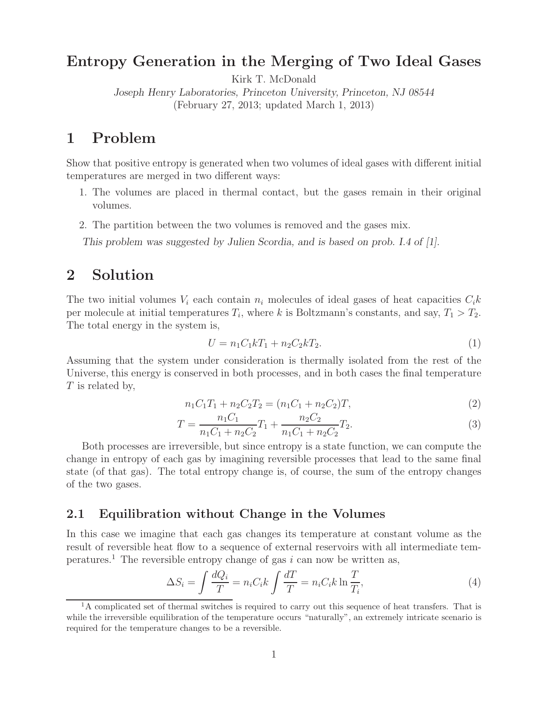### **Entropy Generation in the Merging of Two Ideal Gases**

Kirk T. McDonald

*Joseph Henry Laboratories, Princeton University, Princeton, NJ 08544* (February 27, 2013; updated March 1, 2013)

## **1 Problem**

Show that positive entropy is generated when two volumes of ideal gases with different initial temperatures are merged in two different ways:

- 1. The volumes are placed in thermal contact, but the gases remain in their original volumes.
- 2. The partition between the two volumes is removed and the gases mix.

*This problem was suggested by Julien Scordia, and is based on prob. I.4 of [1].*

## **2 Solution**

The two initial volumes  $V_i$  each contain  $n_i$  molecules of ideal gases of heat capacities  $C_i k$ per molecule at initial temperatures  $T_i$ , where *k* is Boltzmann's constants, and say,  $T_1 > T_2$ . The total energy in the system is,

$$
U = n_1 C_1 k T_1 + n_2 C_2 k T_2. \tag{1}
$$

Assuming that the system under consideration is thermally isolated from the rest of the Universe, this energy is conserved in both processes, and in both cases the final temperature *T* is related by,

$$
n_1C_1T_1 + n_2C_2T_2 = (n_1C_1 + n_2C_2)T,
$$
\n(2)

$$
T = \frac{n_1 C_1}{n_1 C_1 + n_2 C_2} T_1 + \frac{n_2 C_2}{n_1 C_1 + n_2 C_2} T_2.
$$
\n(3)

Both processes are irreversible, but since entropy is a state function, we can compute the change in entropy of each gas by imagining reversible processes that lead to the same final state (of that gas). The total entropy change is, of course, the sum of the entropy changes of the two gases.

#### **2.1 Equilibration without Change in the Volumes**

In this case we imagine that each gas changes its temperature at constant volume as the result of reversible heat flow to a sequence of external reservoirs with all intermediate temperatures.<sup>1</sup> The reversible entropy change of gas  $i$  can now be written as,

$$
\Delta S_i = \int \frac{dQ_i}{T} = n_i C_i k \int \frac{dT}{T} = n_i C_i k \ln \frac{T}{T_i},\tag{4}
$$

 $1<sup>1</sup>A$  complicated set of thermal switches is required to carry out this sequence of heat transfers. That is while the irreversible equilibration of the temperature occurs "naturally", an extremely intricate scenario is required for the temperature changes to be a reversible.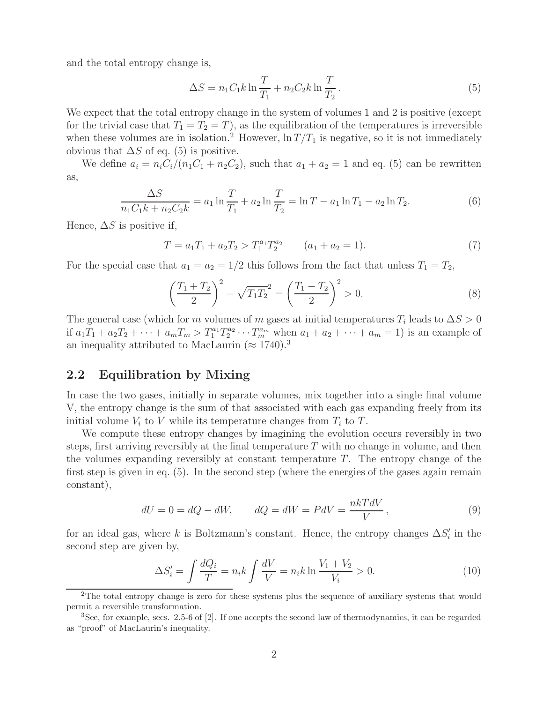and the total entropy change is,

$$
\Delta S = n_1 C_1 k \ln \frac{T}{T_1} + n_2 C_2 k \ln \frac{T}{T_2}.
$$
\n(5)

We expect that the total entropy change in the system of volumes 1 and 2 is positive (except for the trivial case that  $T_1 = T_2 = T$ , as the equilibration of the temperatures is irreversible when these volumes are in isolation.<sup>2</sup> However,  $\ln T/T_1$  is negative, so it is not immediately obvious that  $\Delta S$  of eq. (5) is positive.

We define  $a_i = n_i C_i/(n_1 C_1 + n_2 C_2)$ , such that  $a_1 + a_2 = 1$  and eq. (5) can be rewritten as,

$$
\frac{\Delta S}{n_1 C_1 k + n_2 C_2 k} = a_1 \ln \frac{T}{T_1} + a_2 \ln \frac{T}{T_2} = \ln T - a_1 \ln T_1 - a_2 \ln T_2.
$$
\n(6)

Hence,  $\Delta S$  is positive if,

$$
T = a_1 T_1 + a_2 T_2 > T_1^{a_1} T_2^{a_2} \qquad (a_1 + a_2 = 1).
$$
 (7)

For the special case that  $a_1 = a_2 = 1/2$  this follows from the fact that unless  $T_1 = T_2$ ,

$$
\left(\frac{T_1 + T_2}{2}\right)^2 - \sqrt{T_1 T_2}^2 = \left(\frac{T_1 - T_2}{2}\right)^2 > 0.
$$
\n(8)

The general case (which for *m* volumes of *m* gases at initial temperatures  $T_i$  leads to  $\Delta S > 0$ if  $a_1T_1 + a_2T_2 + \cdots + a_mT_m > T_1^{a_1}T_2^{a_2} \cdots T_m^{a_m}$  when  $a_1 + a_2 + \cdots + a_m = 1$  is an example of an inequality attributed to MacLaurin ( $\approx 1740$ ).<sup>3</sup>

#### **2.2 Equilibration by Mixing**

In case the two gases, initially in separate volumes, mix together into a single final volume V, the entropy change is the sum of that associated with each gas expanding freely from its initial volume  $V_i$  to  $V$  while its temperature changes from  $T_i$  to  $T$ .

We compute these entropy changes by imagining the evolution occurs reversibly in two steps, first arriving reversibly at the final temperature *T* with no change in volume, and then the volumes expanding reversibly at constant temperature  $T$ . The entropy change of the first step is given in eq. (5). In the second step (where the energies of the gases again remain constant),

$$
dU = 0 = dQ - dW, \qquad dQ = dW = PdV = \frac{nkTdV}{V}, \qquad (9)
$$

for an ideal gas, where *k* is Boltzmann's constant. Hence, the entropy changes  $\Delta S_i'$  in the second step are given by,

$$
\Delta S_i' = \int \frac{dQ_i}{T} = n_i k \int \frac{dV}{V} = n_i k \ln \frac{V_1 + V_2}{V_i} > 0.
$$
 (10)

<sup>&</sup>lt;sup>2</sup>The total entropy change is zero for these systems plus the sequence of auxiliary systems that would permit a reversible transformation.

<sup>3</sup>See, for example, secs. 2.5-6 of [2]. If one accepts the second law of thermodynamics, it can be regarded as "proof" of MacLaurin's inequality.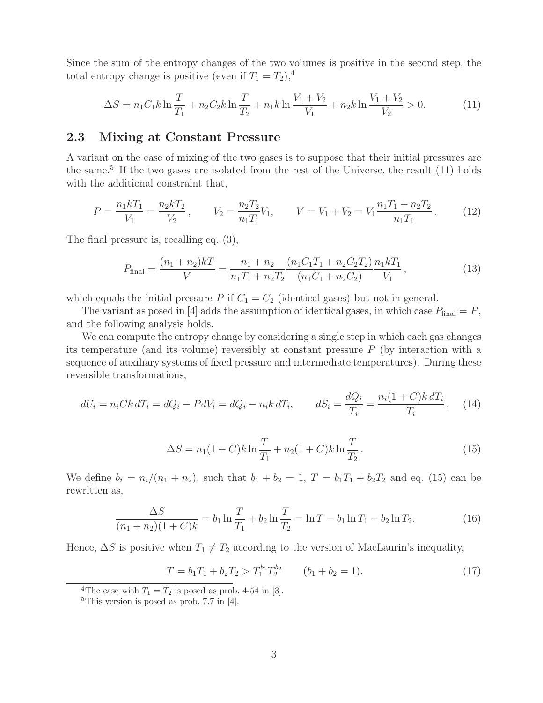Since the sum of the entropy changes of the two volumes is positive in the second step, the total entropy change is positive (even if  $T_1 = T_2$ ),<sup>4</sup>

$$
\Delta S = n_1 C_1 k \ln \frac{T}{T_1} + n_2 C_2 k \ln \frac{T}{T_2} + n_1 k \ln \frac{V_1 + V_2}{V_1} + n_2 k \ln \frac{V_1 + V_2}{V_2} > 0.
$$
 (11)

#### **2.3 Mixing at Constant Pressure**

A variant on the case of mixing of the two gases is to suppose that their initial pressures are the same.<sup>5</sup> If the two gases are isolated from the rest of the Universe, the result  $(11)$  holds with the additional constraint that,

$$
P = \frac{n_1 k T_1}{V_1} = \frac{n_2 k T_2}{V_2}, \qquad V_2 = \frac{n_2 T_2}{n_1 T_1} V_1, \qquad V = V_1 + V_2 = V_1 \frac{n_1 T_1 + n_2 T_2}{n_1 T_1}.
$$
 (12)

The final pressure is, recalling eq. (3),

$$
P_{\text{final}} = \frac{(n_1 + n_2)k}{V} = \frac{n_1 + n_2}{n_1 T_1 + n_2 T_2} \frac{(n_1 C_1 T_1 + n_2 C_2 T_2)}{(n_1 C_1 + n_2 C_2)} \frac{n_1 k T_1}{V_1},\tag{13}
$$

which equals the initial pressure *P* if  $C_1 = C_2$  (identical gases) but not in general.

The variant as posed in [4] adds the assumption of identical gases, in which case  $P_{\text{final}} = P$ , and the following analysis holds.

We can compute the entropy change by considering a single step in which each gas changes its temperature (and its volume) reversibly at constant pressure *P* (by interaction with a sequence of auxiliary systems of fixed pressure and intermediate temperatures). During these reversible transformations,

$$
dU_i = n_i C k dT_i = dQ_i - P dV_i = dQ_i - n_i k dT_i, \qquad dS_i = \frac{dQ_i}{T_i} = \frac{n_i (1 + C) k dT_i}{T_i}, \quad (14)
$$

$$
\Delta S = n_1 (1 + C) k \ln \frac{T}{T_1} + n_2 (1 + C) k \ln \frac{T}{T_2}.
$$
\n(15)

We define  $b_i = n_i/(n_1 + n_2)$ , such that  $b_1 + b_2 = 1$ ,  $T = b_1T_1 + b_2T_2$  and eq. (15) can be rewritten as,

$$
\frac{\Delta S}{(n_1 + n_2)(1 + C)k} = b_1 \ln \frac{T}{T_1} + b_2 \ln \frac{T}{T_2} = \ln T - b_1 \ln T_1 - b_2 \ln T_2.
$$
 (16)

Hence,  $\Delta S$  is positive when  $T_1 \neq T_2$  according to the version of MacLaurin's inequality,

$$
T = b_1 T_1 + b_2 T_2 > T_1^{b_1} T_2^{b_2} \qquad (b_1 + b_2 = 1).
$$
 (17)

<sup>&</sup>lt;sup>4</sup>The case with  $T_1 = T_2$  is posed as prob. 4-54 in [3].

<sup>&</sup>lt;sup>5</sup>This version is posed as prob. 7.7 in [4].